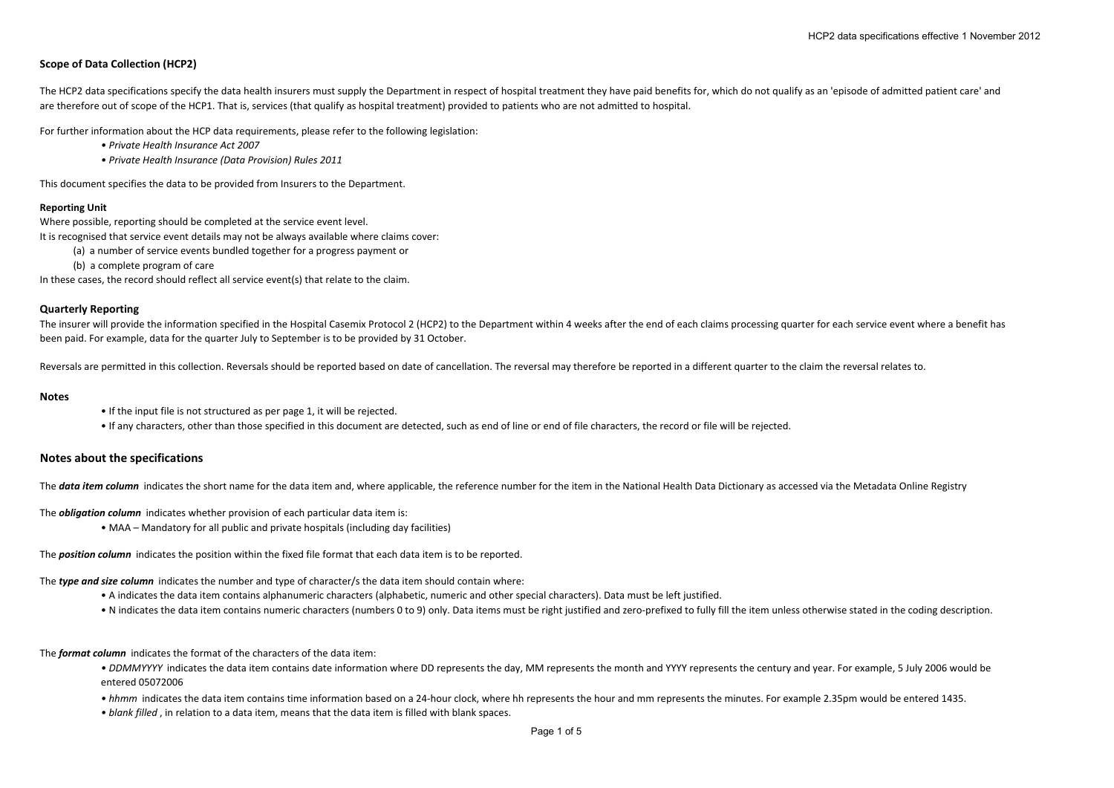# **Scope of Data Collection (HCP2)**

The HCP2 data specifications specify the data health insurers must supply the Department in respect of hospital treatment they have paid benefits for, which do not qualify as an 'episode of admitted patient care' and are therefore out of scope of the HCP1. That is, services (that qualify as hospital treatment) provided to patients who are not admitted to hospital.

For further information about the HCP data requirements, please refer to the following legislation:

- *• Private Health Insurance Act 2007*
- *• Private Health Insurance (Data Provision) Rules 2011*

This document specifies the data to be provided from Insurers to the Department.

#### **Reporting Unit**

Where possible, reporting should be completed at the service event level.

It is recognised that service event details may not be always available where claims cover:

- (a) <sup>a</sup> number of service events bundled together for <sup>a</sup> progress payment or
- (b) <sup>a</sup> complete program of care

In these cases, the record should reflect all service event(s) that relate to the claim.

### **Quarterly Reporting**

The insurer will provide the information specified in the Hospital Casemix Protocol 2 (HCP2) to the Department within 4 weeks after the end of each claims processing quarter for each service event where a benefit has been paid. For example, data for the quarter July to September is to be provided by 31 October.

Reversals are permitted in this collection. Reversals should be reported based on date of cancellation. The reversal may therefore be reported in <sup>a</sup> different quarter to the claim the reversal relates to.

#### **Notes**

- If the input file is not structured as per page 1, it will be rejected.
- If any characters, other than those specified in this document are detected, such as end of line or end of file characters, the record or file will be rejected.

## **Notes about the specifications**

The data item column indicates the short name for the data item and, where applicable, the reference number for the item in the National Health Data Dictionary as accessed via the Metadata Online Registry

The *obligation column* indicates whether provision of each particular data item is:

• MAA – Mandatory for all public and private hospitals (including day facilities)

The *position column* indicates the position within the fixed file format that each data item is to be reported.

The *type and size column* indicates the number and type of character/s the data item should contain where:

- A indicates the data item contains alphanumeric characters (alphabetic, numeric and other special characters). Data must be left justified.
- N indicates the data item contains numeric characters (numbers 0 to 9) only. Data items must be right justified and zero-prefixed to fully fill the item unless otherwise stated in the coding description.

The *format column* indicates the format of the characters of the data item:

- DDMMYYYY indicates the data item contains date information where DD represents the day, MM represents the month and YYYY represents the century and year. For example, 5 July 2006 would be entered 05072006
- hhmm indicates the data item contains time information based on a 24‐hour clock, where hh represents the hour and mm represents the minutes. For example 2.35pm would be entered 1435.

*• blank filled* , in relation to <sup>a</sup> data item, means that the data item is filled with blank spaces.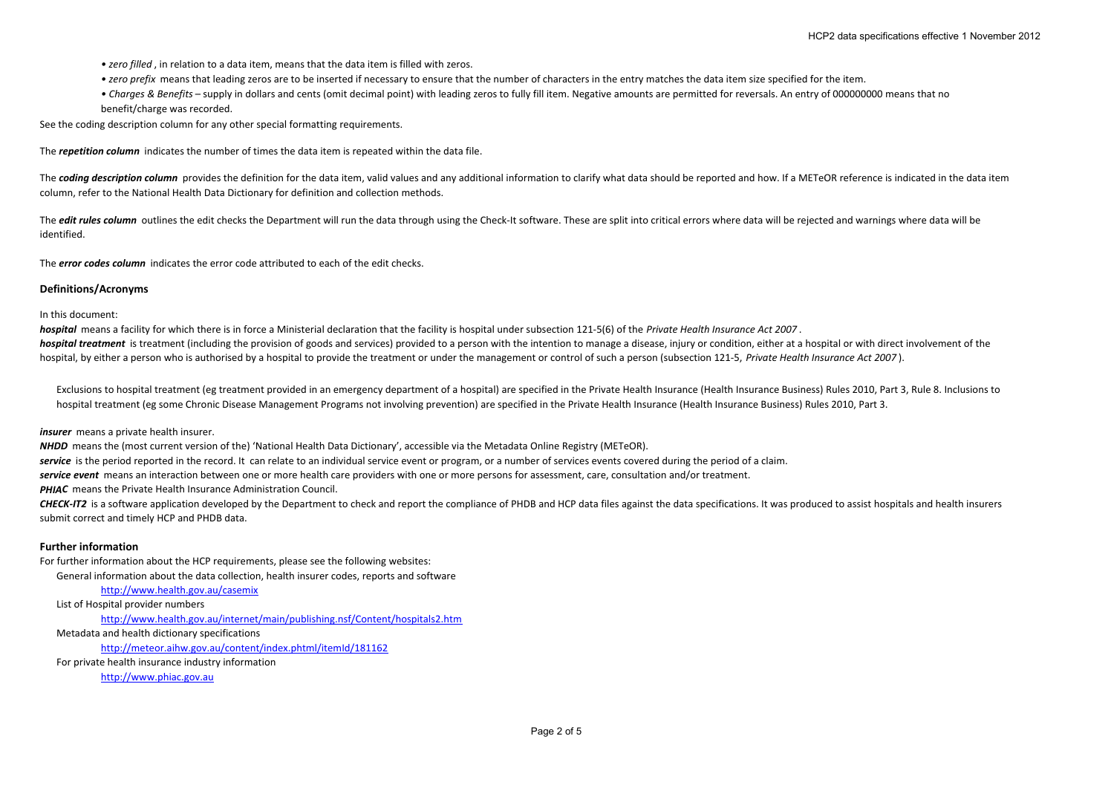- *• zero filled* , in relation to <sup>a</sup> data item, means that the data item is filled with zeros.
- *• zero prefix* means that leading zeros are to be inserted if necessary to ensure that the number of characters in the entry matches the data item size specified for the item.
- *• Charges & Benefits* supply in dollars and cents (omit decimal point) with leading zeros to fully fill item. Negative amounts are permitted for reversals. An entry of 000000000 means that no benefit/charge was recorded.

See the coding description column for any other special formatting requirements.

The *repetition column* indicates the number of times the data item is repeated within the data file.

The coding description column provides the definition for the data item, valid values and any additional information to clarify what data should be reported and how. If a METeOR reference is indicated in the data item column, refer to the National Health Data Dictionary for definition and collection methods.

The *edit rules column* outlines the edit checks the Department will run the data through using the Check-It software. These are split into critical errors where data will be rejected and warnings where data will be identified.

The *error codes column* indicates the error code attributed to each of the edit checks.

#### **Definitions/Acronyms**

In this document:

*hospital* means <sup>a</sup> facility for which there is in force <sup>a</sup> Ministerial declaration that the facility is hospital under subsection 121‐5(6) of the *Private Health Insurance Act 2007* .

hospital treatment is treatment (including the provision of goods and services) provided to a person with the intention to manage a disease, injury or condition, either at a hospital or with direct involvement of the hospital, by either a person who is authorised by a hospital to provide the treatment or under the management or control of such a person (subsection 121-5, Private Health Insurance Act 2007).

Exclusions to hospital treatment (eg treatment provided in an emergency department of a hospital) are specified in the Private Health Insurance (Health Insurance Business) Rules 2010, Part 3, Rule 8. Inclusions to hospital treatment (eg some Chronic Disease Management Programs not involving prevention) are specified in the Private Health Insurance (Health Insurance Business) Rules 2010, Part 3.

*insurer* means a private health insurer.

*NHDD* means the (most current version of the) 'National Health Data Dictionary', accessible via the Metadata Online Registry (METeOR).

*service* is the period reported in the record. It can relate to an individual service event or program, or <sup>a</sup> number of services events covered during the period of <sup>a</sup> claim.

*service event* means an interaction between one or more health care providers with one or more persons for assessment, care, consultation and/or treatment.

*PHIAC* means the Private Health Insurance Administration Council.

CHECK-IT2 is a software application developed by the Department to check and report the compliance of PHDB and HCP data files against the data specifications. It was produced to assist hospitals and health insurers submit correct and timely HCP and PHDB data.

#### **Further information**

For further information about the HCP requirements, please see the following websites:

General information about the data collection, health insurer codes, reports and software

<http://www.health.gov.au/casemix>

List of Hospital provider numbers

[http://www.health.gov.au/internet/main/publishing.nsf/Content/hospitals2.htm](http:///)

Metadata and health dictionary specifications

<http://meteor.aihw.gov.au/content/index.phtml/itemId/181162>

For private health insurance industry information

[http://www.phiac.gov.au](http://www.phiac.gov.au/)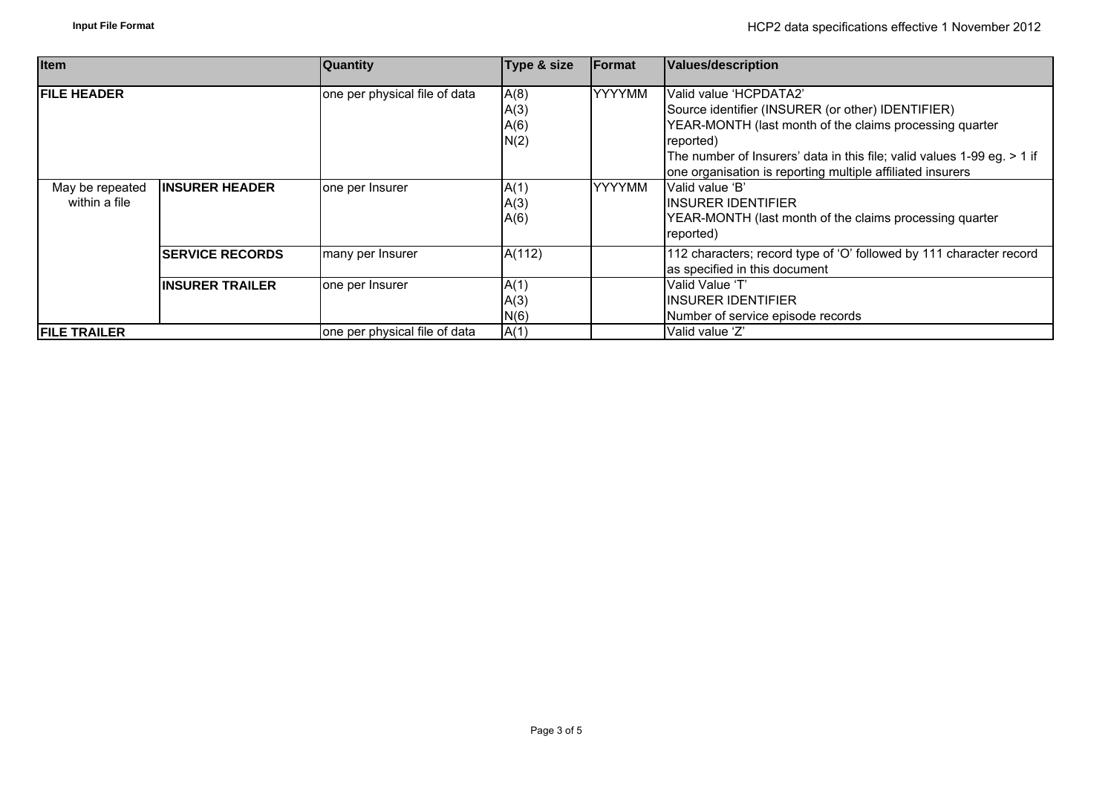| <b>Item</b>                      |                         | <b>Quantity</b>               | Type & size                  | <b>IFormat</b> | Values/description                                                                                                                                                                                                                                                                           |  |
|----------------------------------|-------------------------|-------------------------------|------------------------------|----------------|----------------------------------------------------------------------------------------------------------------------------------------------------------------------------------------------------------------------------------------------------------------------------------------------|--|
| <b>IFILE HEADER</b>              |                         | one per physical file of data | A(8)<br>A(3)<br>A(6)<br>N(2) | <b>YYYYMM</b>  | Valid value 'HCPDATA2'<br>Source identifier (INSURER (or other) IDENTIFIER)<br>YEAR-MONTH (last month of the claims processing quarter<br>reported)<br>The number of Insurers' data in this file; valid values 1-99 eg. > 1 if<br>one organisation is reporting multiple affiliated insurers |  |
| May be repeated<br>within a file | <b>IINSURER HEADER</b>  | one per Insurer               | A(1)<br>A(3)<br>A(6)         | <b>YYYYMM</b>  | Valid value 'B'<br><b>IINSURER IDENTIFIER</b><br>YEAR-MONTH (last month of the claims processing quarter<br>reported)                                                                                                                                                                        |  |
|                                  | <b>ISERVICE RECORDS</b> | many per Insurer              | A(112)                       |                | 112 characters; record type of 'O' followed by 111 character record<br>as specified in this document                                                                                                                                                                                         |  |
|                                  | <b>IINSURER TRAILER</b> | one per Insurer               | A(1)<br>A(3)<br>N(6)         |                | Valid Value 'T'<br><b>IINSURER IDENTIFIER</b><br>Number of service episode records                                                                                                                                                                                                           |  |
| <b>FILE TRAILER</b>              |                         | one per physical file of data | A(1)                         |                | Valid value 'Z'                                                                                                                                                                                                                                                                              |  |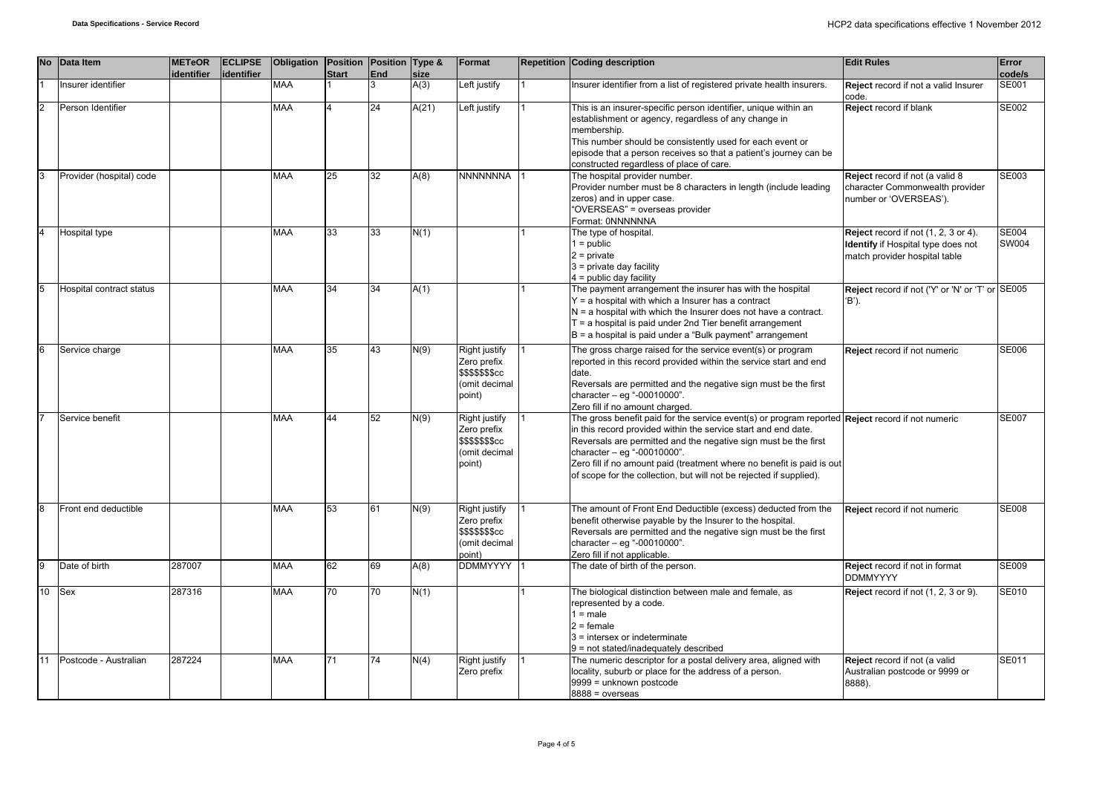| <b>No</b>      | Data Item                | <b>METeOR</b><br>identifier | <b>ECLIPSE</b><br>identifier | Obligation Position Position Type & | <b>Start</b> | <b>End</b> | size  | Format                                                                             | Repetition Coding description                                                                                                                                                                                                                                                                                                                                                                                         | <b>Edit Rules</b>                                                                                           | Error<br>code/s              |
|----------------|--------------------------|-----------------------------|------------------------------|-------------------------------------|--------------|------------|-------|------------------------------------------------------------------------------------|-----------------------------------------------------------------------------------------------------------------------------------------------------------------------------------------------------------------------------------------------------------------------------------------------------------------------------------------------------------------------------------------------------------------------|-------------------------------------------------------------------------------------------------------------|------------------------------|
|                | Insurer identifier       |                             |                              | <b>MAA</b>                          |              | 3          | A(3)  | Left justify                                                                       | Insurer identifier from a list of registered private health insurers.                                                                                                                                                                                                                                                                                                                                                 | Reject record if not a valid Insurer<br>code.                                                               | SE001                        |
| $\overline{2}$ | Person Identifier        |                             |                              | <b>MAA</b>                          |              | 24         | A(21) | Left justify                                                                       | This is an insurer-specific person identifier, unique within an<br>establishment or agency, regardless of any change in<br>membership.<br>This number should be consistently used for each event or<br>episode that a person receives so that a patient's journey can be<br>constructed regardless of place of care.                                                                                                  | Reject record if blank                                                                                      | SE002                        |
| 3              | Provider (hospital) code |                             |                              | <b>MAA</b>                          | 25           | 32         | A(8)  | <b>NNNNNNNA</b>                                                                    | The hospital provider number.<br>Provider number must be 8 characters in length (include leading<br>zeros) and in upper case.<br>"OVERSEAS" = overseas provider<br>Format: 0NNNNNNA                                                                                                                                                                                                                                   | Reject record if not (a valid 8<br>character Commonwealth provider<br>number or 'OVERSEAS').                | SE003                        |
| $\overline{4}$ | Hospital type            |                             |                              | <b>MAA</b>                          | 33           | 33         | N(1)  |                                                                                    | The type of hospital.<br>$1 = public$<br>$2$ = private<br>$3$ = private day facility<br>$4 =$ public day facility                                                                                                                                                                                                                                                                                                     | Reject record if not (1, 2, 3 or 4).<br>Identify if Hospital type does not<br>match provider hospital table | <b>SE004</b><br><b>SW004</b> |
| 5              | Hospital contract status |                             |                              | <b>MAA</b>                          | 34           | 34         | A(1)  |                                                                                    | The payment arrangement the insurer has with the hospital<br>$Y = a$ hospital with which a Insurer has a contract<br>$N = a$ hospital with which the Insurer does not have a contract.<br>$T = a$ hospital is paid under 2nd Tier benefit arrangement<br>B = a hospital is paid under a "Bulk payment" arrangement                                                                                                    | Reject record if not ('Y' or 'N' or 'T' or SE005<br>'B').                                                   |                              |
| 6              | Service charge           |                             |                              | <b>MAA</b>                          | 35           | 43         | N(9)  | Right justify<br>Zero prefix<br>\$\$\$\$\$\$\$cc<br>(omit decimal<br>point)        | The gross charge raised for the service event(s) or program<br>reported in this record provided within the service start and end<br>date.<br>Reversals are permitted and the negative sign must be the first<br>character $-$ eg "-00010000".<br>Zero fill if no amount charged.                                                                                                                                      | Reject record if not numeric                                                                                | <b>SE006</b>                 |
|                | Service benefit          |                             |                              | <b>MAA</b>                          | 44           | 52         | N(9)  | Right justify<br>Zero prefix<br>\$\$\$\$\$\$\$cc<br>(omit decimal<br>point)        | The gross benefit paid for the service event(s) or program reported Reject record if not numeric<br>in this record provided within the service start and end date.<br>Reversals are permitted and the negative sign must be the first<br>character - eg "-00010000".<br>Zero fill if no amount paid (treatment where no benefit is paid is out<br>of scope for the collection, but will not be rejected if supplied). |                                                                                                             | <b>SE007</b>                 |
| 8              | Front end deductible     |                             |                              | <b>MAA</b>                          | 53           | 61         | N(9)  | Right justify<br>Zero prefix<br><b>\$\$\$\$\$\$\$cc</b><br>(omit decimal<br>point) | The amount of Front End Deductible (excess) deducted from the<br>benefit otherwise payable by the Insurer to the hospital.<br>Reversals are permitted and the negative sign must be the first<br>character - eg "-00010000".<br>Zero fill if not applicable.                                                                                                                                                          | Reject record if not numeric                                                                                | <b>SE008</b>                 |
| $\overline{9}$ | Date of birth            | 287007                      |                              | <b>MAA</b>                          | 62           | 69         | A(8)  | DDMMYYYY                                                                           | The date of birth of the person.                                                                                                                                                                                                                                                                                                                                                                                      | Reject record if not in format<br><b>DDMMYYYY</b>                                                           | <b>SE009</b>                 |
| 10             | <b>Sex</b>               | 287316                      |                              | <b>MAA</b>                          | 70           | 70         | N(1)  |                                                                                    | The biological distinction between male and female, as<br>represented by a code.<br>$1 = male$<br>$2 =$ female<br>3 = intersex or indeterminate<br>9 = not stated/inadequately described                                                                                                                                                                                                                              | Reject record if not (1, 2, 3 or 9).                                                                        | SE010                        |
| 11             | Postcode - Australian    | 287224                      |                              | <b>MAA</b>                          | 71           | 74         | N(4)  | Right justify<br>Zero prefix                                                       | The numeric descriptor for a postal delivery area, aligned with<br>locality, suburb or place for the address of a person.<br>9999 = unknown postcode<br>$8888 = 0$ verseas                                                                                                                                                                                                                                            | Reject record if not (a valid<br>Australian postcode or 9999 or<br>8888).                                   | SE011                        |